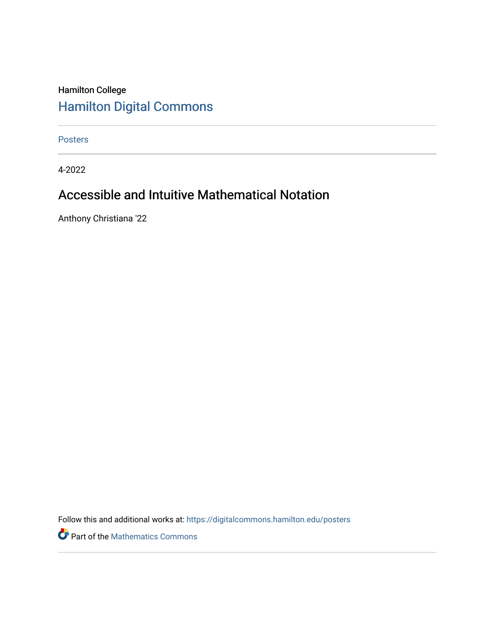#### Hamilton College [Hamilton Digital Commons](https://digitalcommons.hamilton.edu/)

[Posters](https://digitalcommons.hamilton.edu/posters) 

4-2022

#### Accessible and Intuitive Mathematical Notation

Anthony Christiana '22

Follow this and additional works at: [https://digitalcommons.hamilton.edu/posters](https://digitalcommons.hamilton.edu/posters?utm_source=digitalcommons.hamilton.edu%2Fposters%2F3&utm_medium=PDF&utm_campaign=PDFCoverPages) 

Part of the [Mathematics Commons](https://network.bepress.com/hgg/discipline/174?utm_source=digitalcommons.hamilton.edu%2Fposters%2F3&utm_medium=PDF&utm_campaign=PDFCoverPages)